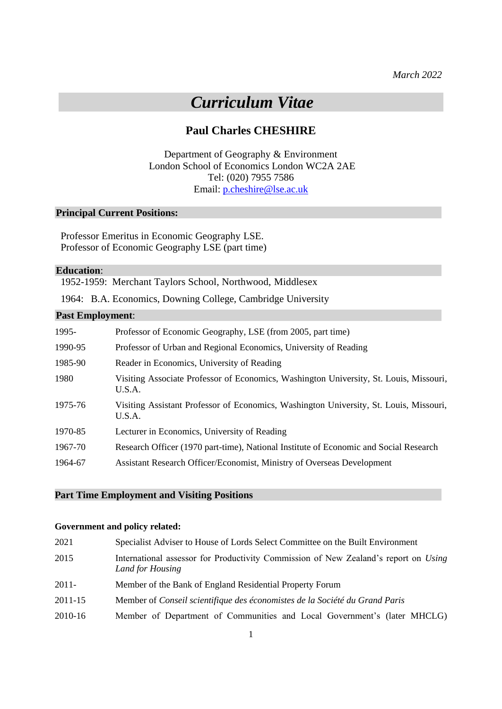*March 2022*

# *Curriculum Vitae*

## **Paul Charles CHESHIRE**

Department of Geography & Environment London School of Economics London WC2A 2AE Tel: (020) 7955 7586 Email: [p.cheshire@lse.ac.uk](mailto:p.cheshire@lse.ac.uk)

#### **Principal Current Positions:**

Professor Emeritus in Economic Geography LSE. Professor of Economic Geography LSE (part time)

#### **Education**:

1952-1959: Merchant Taylors School, Northwood, Middlesex

1964: B.A. Economics, Downing College, Cambridge University

#### **Past Employment**:

| 1995-   | Professor of Economic Geography, LSE (from 2005, part time)                                      |
|---------|--------------------------------------------------------------------------------------------------|
| 1990-95 | Professor of Urban and Regional Economics, University of Reading                                 |
| 1985-90 | Reader in Economics, University of Reading                                                       |
| 1980    | Visiting Associate Professor of Economics, Washington University, St. Louis, Missouri,<br>U.S.A. |
| 1975-76 | Visiting Assistant Professor of Economics, Washington University, St. Louis, Missouri,<br>U.S.A. |
| 1970-85 | Lecturer in Economics, University of Reading                                                     |
| 1967-70 | Research Officer (1970 part-time), National Institute of Economic and Social Research            |
| 1964-67 | Assistant Research Officer/Economist, Ministry of Overseas Development                           |

### **Part Time Employment and Visiting Positions**

#### **Government and policy related:**

| 2021     | Specialist Adviser to House of Lords Select Committee on the Built Environment                          |
|----------|---------------------------------------------------------------------------------------------------------|
| 2015     | International assessor for Productivity Commission of New Zealand's report on Using<br>Land for Housing |
| $2011 -$ | Member of the Bank of England Residential Property Forum                                                |
| 2011-15  | Member of Conseil scientifique des économistes de la Société du Grand Paris                             |
| 2010-16  | Member of Department of Communities and Local Government's (later MHCLG)                                |
|          |                                                                                                         |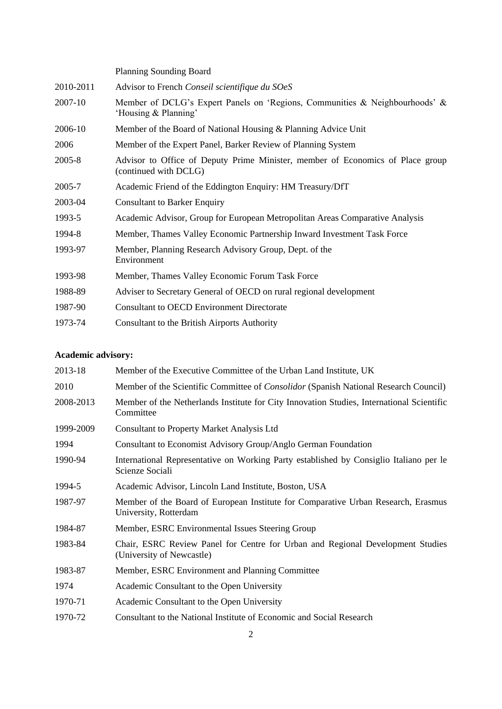|           | Planning Sounding Board                                                                                 |
|-----------|---------------------------------------------------------------------------------------------------------|
| 2010-2011 | Advisor to French Conseil scientifique du SOeS                                                          |
| 2007-10   | Member of DCLG's Expert Panels on 'Regions, Communities & Neighbourhoods' &<br>'Housing & Planning'     |
| 2006-10   | Member of the Board of National Housing & Planning Advice Unit                                          |
| 2006      | Member of the Expert Panel, Barker Review of Planning System                                            |
| 2005-8    | Advisor to Office of Deputy Prime Minister, member of Economics of Place group<br>(continued with DCLG) |
| 2005-7    | Academic Friend of the Eddington Enquiry: HM Treasury/DfT                                               |
| 2003-04   | <b>Consultant to Barker Enquiry</b>                                                                     |
| 1993-5    | Academic Advisor, Group for European Metropolitan Areas Comparative Analysis                            |
| 1994-8    | Member, Thames Valley Economic Partnership Inward Investment Task Force                                 |
| 1993-97   | Member, Planning Research Advisory Group, Dept. of the<br>Environment                                   |
| 1993-98   | Member, Thames Valley Economic Forum Task Force                                                         |
| 1988-89   | Adviser to Secretary General of OECD on rural regional development                                      |
| 1987-90   | <b>Consultant to OECD Environment Directorate</b>                                                       |
| 1973-74   | Consultant to the British Airports Authority                                                            |

## **Academic advisory:**

| 2013-18   | Member of the Executive Committee of the Urban Land Institute, UK                                           |
|-----------|-------------------------------------------------------------------------------------------------------------|
| 2010      | Member of the Scientific Committee of <i>Consolidor</i> (Spanish National Research Council)                 |
| 2008-2013 | Member of the Netherlands Institute for City Innovation Studies, International Scientific<br>Committee      |
| 1999-2009 | <b>Consultant to Property Market Analysis Ltd</b>                                                           |
| 1994      | Consultant to Economist Advisory Group/Anglo German Foundation                                              |
| 1990-94   | International Representative on Working Party established by Consiglio Italiano per le<br>Scienze Sociali   |
| 1994-5    | Academic Advisor, Lincoln Land Institute, Boston, USA                                                       |
| 1987-97   | Member of the Board of European Institute for Comparative Urban Research, Erasmus<br>University, Rotterdam  |
| 1984-87   | Member, ESRC Environmental Issues Steering Group                                                            |
| 1983-84   | Chair, ESRC Review Panel for Centre for Urban and Regional Development Studies<br>(University of Newcastle) |
| 1983-87   | Member, ESRC Environment and Planning Committee                                                             |
| 1974      | Academic Consultant to the Open University                                                                  |
| 1970-71   | Academic Consultant to the Open University                                                                  |
| 1970-72   | Consultant to the National Institute of Economic and Social Research                                        |
|           |                                                                                                             |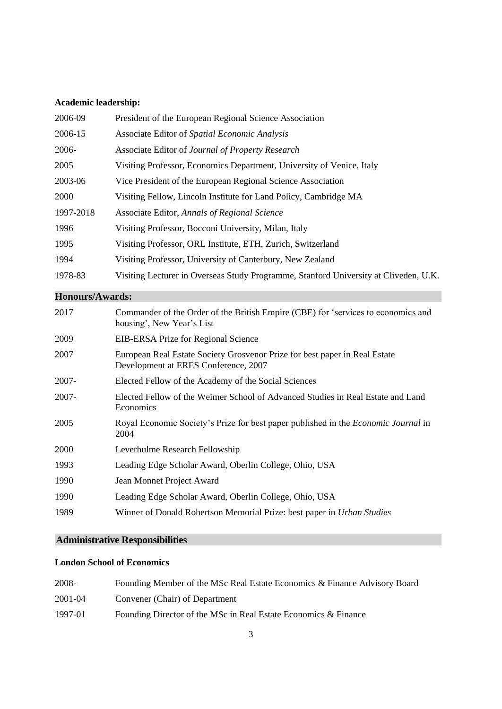## **Academic leadership:**

| 2006-09   | President of the European Regional Science Association                               |
|-----------|--------------------------------------------------------------------------------------|
| 2006-15   | Associate Editor of Spatial Economic Analysis                                        |
| 2006-     | Associate Editor of Journal of Property Research                                     |
| 2005      | Visiting Professor, Economics Department, University of Venice, Italy                |
| 2003-06   | Vice President of the European Regional Science Association                          |
| 2000      | Visiting Fellow, Lincoln Institute for Land Policy, Cambridge MA                     |
| 1997-2018 | Associate Editor, Annals of Regional Science                                         |
| 1996      | Visiting Professor, Bocconi University, Milan, Italy                                 |
| 1995      | Visiting Professor, ORL Institute, ETH, Zurich, Switzerland                          |
| 1994      | Visiting Professor, University of Canterbury, New Zealand                            |
| 1978-83   | Visiting Lecturer in Overseas Study Programme, Stanford University at Cliveden, U.K. |
|           |                                                                                      |

## **Honours/Awards:**

| 2017     | Commander of the Order of the British Empire (CBE) for 'services to economics and<br>housing', New Year's List     |
|----------|--------------------------------------------------------------------------------------------------------------------|
| 2009     | EIB-ERSA Prize for Regional Science                                                                                |
| 2007     | European Real Estate Society Grosvenor Prize for best paper in Real Estate<br>Development at ERES Conference, 2007 |
| 2007-    | Elected Fellow of the Academy of the Social Sciences                                                               |
| $2007 -$ | Elected Fellow of the Weimer School of Advanced Studies in Real Estate and Land<br>Economics                       |
| 2005     | Royal Economic Society's Prize for best paper published in the <i>Economic Journal</i> in<br>2004                  |
| 2000     | Leverhulme Research Fellowship                                                                                     |
| 1993     | Leading Edge Scholar Award, Oberlin College, Ohio, USA                                                             |
| 1990     | Jean Monnet Project Award                                                                                          |
| 1990     | Leading Edge Scholar Award, Oberlin College, Ohio, USA                                                             |
| 1989     | Winner of Donald Robertson Memorial Prize: best paper in Urban Studies                                             |

## **Administrative Responsibilities**

### **London School of Economics**

| 2008-   | Founding Member of the MSc Real Estate Economics & Finance Advisory Board |
|---------|---------------------------------------------------------------------------|
| 2001-04 | Convener (Chair) of Department                                            |
| 1997-01 | Founding Director of the MSc in Real Estate Economics & Finance           |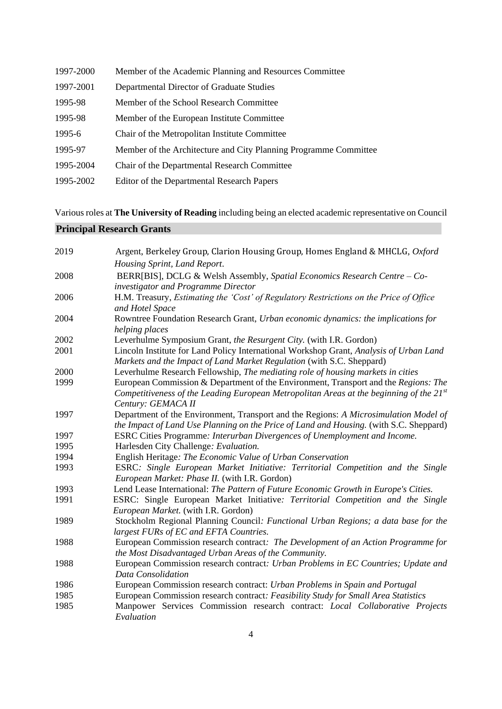| 1997-2000 | Member of the Academic Planning and Resources Committee          |
|-----------|------------------------------------------------------------------|
| 1997-2001 | Departmental Director of Graduate Studies                        |
| 1995-98   | Member of the School Research Committee                          |
| 1995-98   | Member of the European Institute Committee                       |
| 1995-6    | Chair of the Metropolitan Institute Committee                    |
| 1995-97   | Member of the Architecture and City Planning Programme Committee |
| 1995-2004 | Chair of the Departmental Research Committee                     |
| 1995-2002 | Editor of the Departmental Research Papers                       |

Various roles at **The University of Reading** including being an elected academic representative on Council

## **Principal Research Grants**

| 2019 | Argent, Berkeley Group, Clarion Housing Group, Homes England & MHCLG, Oxford                 |
|------|----------------------------------------------------------------------------------------------|
|      | Housing Sprint, Land Report.                                                                 |
| 2008 | BERR[BIS], DCLG & Welsh Assembly, Spatial Economics Research Centre - Co-                    |
|      | investigator and Programme Director                                                          |
| 2006 | H.M. Treasury, Estimating the 'Cost' of Regulatory Restrictions on the Price of Office       |
|      | and Hotel Space                                                                              |
| 2004 | Rowntree Foundation Research Grant, Urban economic dynamics: the implications for            |
|      | helping places                                                                               |
| 2002 | Leverhulme Symposium Grant, the Resurgent City. (with I.R. Gordon)                           |
| 2001 | Lincoln Institute for Land Policy International Workshop Grant, Analysis of Urban Land       |
|      | Markets and the Impact of Land Market Regulation (with S.C. Sheppard)                        |
| 2000 | Leverhulme Research Fellowship, The mediating role of housing markets in cities              |
| 1999 | European Commission & Department of the Environment, Transport and the Regions: The          |
|      | Competitiveness of the Leading European Metropolitan Areas at the beginning of the $21^{st}$ |
|      | Century: GEMACA II                                                                           |
| 1997 | Department of the Environment, Transport and the Regions: A Microsimulation Model of         |
|      | the Impact of Land Use Planning on the Price of Land and Housing. (with S.C. Sheppard)       |
| 1997 | ESRC Cities Programme: Interurban Divergences of Unemployment and Income.                    |
| 1995 | Harlesden City Challenge: Evaluation.                                                        |
| 1994 | English Heritage: The Economic Value of Urban Conservation                                   |
| 1993 | ESRC: Single European Market Initiative: Territorial Competition and the Single              |
|      | European Market: Phase II. (with I.R. Gordon)                                                |
| 1993 | Lend Lease International: The Pattern of Future Economic Growth in Europe's Cities.          |
| 1991 | ESRC: Single European Market Initiative: Territorial Competition and the Single              |
|      | European Market. (with I.R. Gordon)                                                          |
| 1989 | Stockholm Regional Planning Council: Functional Urban Regions; a data base for the           |
|      | largest FURs of EC and EFTA Countries.                                                       |
| 1988 | European Commission research contract: The Development of an Action Programme for            |
|      | the Most Disadvantaged Urban Areas of the Community.                                         |
| 1988 | European Commission research contract: Urban Problems in EC Countries; Update and            |
|      | Data Consolidation                                                                           |
| 1986 | European Commission research contract: Urban Problems in Spain and Portugal                  |
| 1985 | European Commission research contract: Feasibility Study for Small Area Statistics           |
| 1985 | Manpower Services Commission research contract: Local Collaborative Projects                 |
|      | Evaluation                                                                                   |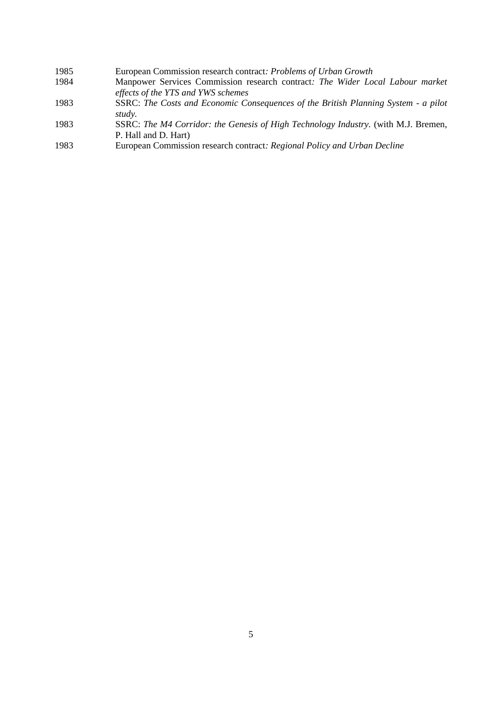| 1985 | European Commission research contract: Problems of Urban Growth                    |
|------|------------------------------------------------------------------------------------|
| 1984 | Manpower Services Commission research contract: The Wider Local Labour market      |
|      | effects of the YTS and YWS schemes                                                 |
| 1983 | SSRC: The Costs and Economic Consequences of the British Planning System - a pilot |
|      | study.                                                                             |
| 1983 | SSRC: The M4 Corridor: the Genesis of High Technology Industry (with MI Bremen)    |

- SSRC: *The M4 Corridor: the Genesis of High Technology Industry.* (with M.J. Bremen, P. Hall and D. Hart)
- European Commission research contract*: Regional Policy and Urban Decline*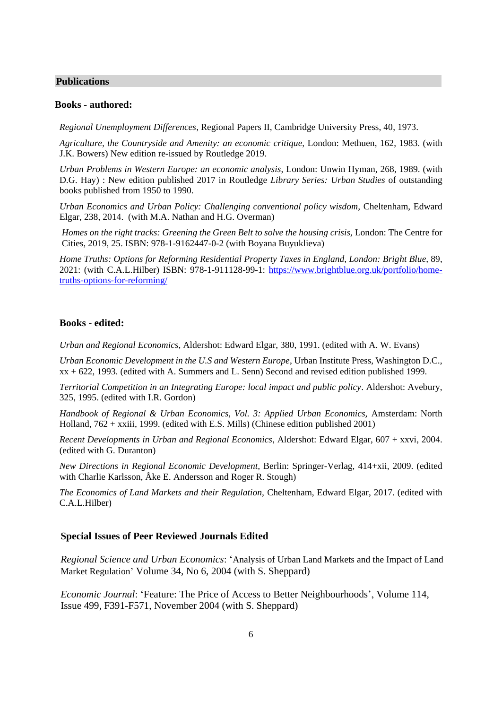#### **Publications**

#### **Books - authored:**

*Regional Unemployment Differences*, Regional Papers II, Cambridge University Press, 40, 1973.

*Agriculture, the Countryside and Amenity: an economic critique*, London: Methuen, 162, 1983. (with J.K. Bowers) New edition re-issued by Routledge 2019.

*Urban Problems in Western Europe: an economic analysis*, London: Unwin Hyman, 268, 1989. (with D.G. Hay) : New edition published 2017 in Routledge *Library Series: Urban Studies* of outstanding books published from 1950 to 1990.

*Urban Economics and Urban Policy: Challenging conventional policy wisdom,* Cheltenham, Edward Elgar, 238, 2014. (with M.A. Nathan and H.G. Overman)

*Homes on the right tracks: Greening the Green Belt to solve the housing crisis, London: The Centre for* Cities, 2019, 25. ISBN: 978-1-9162447-0-2 (with Boyana Buyuklieva)

*Home Truths: Options for Reforming Residential Property Taxes in England, London: Bright Blue,* 89, 2021: (with C.A.L.Hilber) ISBN: 978-1-911128-99-1: [https://www.brightblue.org.uk/portfolio/home](https://www.brightblue.org.uk/portfolio/home-truths-options-for-reforming/)[truths-options-for-reforming/](https://www.brightblue.org.uk/portfolio/home-truths-options-for-reforming/)

#### **Books - edited:**

*Urban and Regional Economics*, Aldershot: Edward Elgar, 380, 1991. (edited with A. W. Evans)

*Urban Economic Development in the U.S and Western Europe*, Urban Institute Press, Washington D.C., xx + 622, 1993. (edited with A. Summers and L. Senn) Second and revised edition published 1999.

*Territorial Competition in an Integrating Europe: local impact and public policy*. Aldershot: Avebury, 325, 1995. (edited with I.R. Gordon)

*Handbook of Regional & Urban Economics, Vol. 3: Applied Urban Economics,* Amsterdam: North Holland, 762 + xxiii, 1999. (edited with E.S. Mills) (Chinese edition published 2001)

*Recent Developments in Urban and Regional Economics*, Aldershot: Edward Elgar, 607 + xxvi, 2004. (edited with G. Duranton)

*New Directions in Regional Economic Development,* Berlin: Springer-Verlag, 414+xii, 2009. (edited with Charlie Karlsson, Åke E. Andersson and Roger R. Stough)

*The Economics of Land Markets and their Regulation,* Cheltenham, Edward Elgar, 2017. (edited with C.A.L.Hilber)

#### **Special Issues of Peer Reviewed Journals Edited**

*Regional Science and Urban Economics*: '[Analysis of Urban Land Markets](https://www.sciencedirect.com/science/journal/01660462/34/6) and the Impact of Land [Market Regulation'](https://www.sciencedirect.com/science/journal/01660462/34/6) Volume 34, No 6, 2004 (with S. Sheppard)

*Economic Journal*: 'Feature: The Price of Access to Better Neighbourhoods', Volume 114, Issue 499, F391-F571, November 2004 (with S. Sheppard)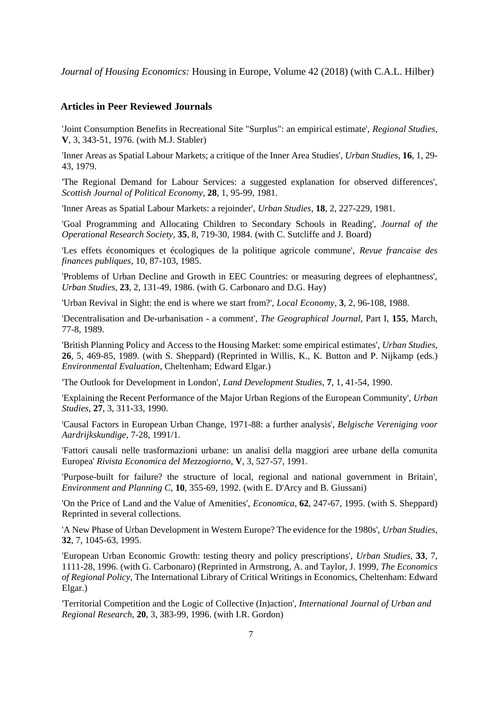*Journal of Housing Economics:* Housing in Europe, Volume 42 (2018) (with C.A.L. Hilber)

#### **Articles in Peer Reviewed Journals**

'Joint Consumption Benefits in Recreational Site "Surplus": an empirical estimate', *Regional Studies*, **V**, 3, 343-51, 1976. (with M.J. Stabler)

'Inner Areas as Spatial Labour Markets; a critique of the Inner Area Studies', *Urban Studies*, **16**, 1, 29- 43, 1979.

'The Regional Demand for Labour Services: a suggested explanation for observed differences', *Scottish Journal of Political Economy*, **28**, 1, 95-99, 1981.

'Inner Areas as Spatial Labour Markets: a rejoinder', *Urban Studies*, **18**, 2, 227-229, 1981.

'Goal Programming and Allocating Children to Secondary Schools in Reading', *Journal of the Operational Research Society,* **35**, 8, 719-30, 1984. (with C. Sutcliffe and J. Board)

'Les effets économiques et écologiques de la politique agricole commune', *Revue francaise des finances publiques*, 10, 87-103, 1985.

'Problems of Urban Decline and Growth in EEC Countries: or measuring degrees of elephantness', *Urban Studies*, **23**, 2, 131-49, 1986. (with G. Carbonaro and D.G. Hay)

'Urban Revival in Sight: the end is where we start from?', *Local Economy*, **3**, 2, 96-108, 1988.

'Decentralisation and De-urbanisation - a comment', *The Geographical Journal*, Part I, **155**, March, 77-8, 1989.

'British Planning Policy and Access to the Housing Market: some empirical estimates', *Urban Studies*, **26**, 5, 469-85, 1989. (with S. Sheppard) (Reprinted in Willis, K., K. Button and P. Nijkamp (eds.) *Environmental Evaluation*, Cheltenham; Edward Elgar.)

'The Outlook for Development in London', *Land Development Studies*, **7**, 1, 41-54, 1990.

'Explaining the Recent Performance of the Major Urban Regions of the European Community', *Urban Studies*, **27**, 3, 311-33, 1990.

'Causal Factors in European Urban Change, 1971-88: a further analysis', *Belgische Vereniging voor Aardrijkskundige*, 7-28, 1991/1.

'Fattori causali nelle trasformazioni urbane: un analisi della maggiori aree urbane della comunita Europea' *Rivista Economica del Mezzogiorno*, **V**, 3, 527-57, 1991.

'Purpose-built for failure? the structure of local, regional and national government in Britain', *Environment and Planning C*, **10**, 355-69, 1992. (with E. D'Arcy and B. Giussani)

'On the Price of Land and the Value of Amenities', *Economica*, **62**, 247-67, 1995. (with S. Sheppard) Reprinted in several collections.

'A New Phase of Urban Development in Western Europe? The evidence for the 1980s', *Urban Studies*, **32**, 7, 1045-63, 1995.

'European Urban Economic Growth: testing theory and policy prescriptions', *Urban Studies*, **33**, 7, 1111-28, 1996. (with G. Carbonaro) (Reprinted in Armstrong, A. and Taylor, J. 1999, *The Economics of Regional Policy*, The International Library of Critical Writings in Economics, Cheltenham: Edward Elgar.)

'Territorial Competition and the Logic of Collective (In)action', *International Journal of Urban and Regional Research*, **20**, 3, 383-99, 1996. (with I.R. Gordon)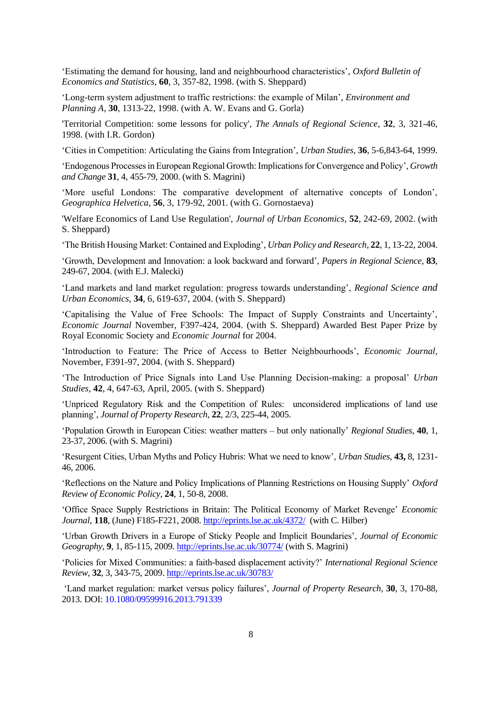'Estimating the demand for housing, land and neighbourhood characteristics', *Oxford Bulletin of Economics and Statistics*, **60**, 3, 357-82, 1998. (with S. Sheppard)

'Long-term system adjustment to traffic restrictions: the example of Milan'*, Environment and Planning A*, **30**, 1313-22, 1998. (with A. W. Evans and G. Gorla)

'Territorial Competition: some lessons for policy', *The Annals of Regional Science*, **32**, 3, 321-46, 1998. (with I.R. Gordon)

'Cities in Competition: Articulating the Gains from Integration', *Urban Studies*, **36**, 5-6,843-64, 1999.

'Endogenous Processes in European Regional Growth: Implications for Convergence and Policy', *Growth and Change* **31**, 4, 455-79, 2000. (with S. Magrini)

'More useful Londons: The comparative development of alternative concepts of London', *Geographica Helvetica*, **56**, 3, 179-92, 2001. (with G. Gornostaeva)

'Welfare Economics of Land Use Regulation', *Journal of Urban Economics,* **52**, 242-69, 2002. (with S. Sheppard)

'The British Housing Market: Contained and Exploding'*, Urban Policy and Research*, **22**, 1, 13-22, 2004.

'Growth, Development and Innovation: a look backward and forward', *Papers in Regional Science*, **83**, 249-67, 2004. (with E.J. Malecki)

'Land markets and land market regulation: progress towards understanding', *Regional Science and Urban Economics*, **34**, 6, 619-637, 2004. (with S. Sheppard)

'Capitalising the Value of Free Schools: The Impact of Supply Constraints and Uncertainty', *Economic Journal* November, F397-424, 2004. (with S. Sheppard) Awarded Best Paper Prize by Royal Economic Society and *Economic Journal* for 2004.

'Introduction to Feature: The Price of Access to Better Neighbourhoods', *Economic Journal,* November, F391-97, 2004. (with S. Sheppard)

'The Introduction of Price Signals into Land Use Planning Decision-making: a proposal' *Urban Studies,* **42**, 4, 647-63, April, 2005. (with S. Sheppard)

'Unpriced Regulatory Risk and the Competition of Rules: unconsidered implications of land use planning', *Journal of Property Research*, **22**, 2/3, 225-44, 2005.

'Population Growth in European Cities: weather matters – but only nationally' *Regional Studies*, **40**, 1, 23-37, 2006. (with S. Magrini)

'Resurgent Cities, Urban Myths and Policy Hubris: What we need to know', *Urban Studies*, **43,** 8, 1231- 46, 2006.

'Reflections on the Nature and Policy Implications of Planning Restrictions on Housing Supply' *Oxford Review of Economic Policy*, **24**, 1, 50-8, 2008.

'Office Space Supply Restrictions in Britain: The Political Economy of Market Revenge' *Economic Journal*, **118**, (June) F185-F221, 2008. <http://eprints.lse.ac.uk/4372/> (with C. Hilber)

'Urban Growth Drivers in a Europe of Sticky People and Implicit Boundaries', *Journal of Economic Geography,* **9***,* 1, 85-115, 2009*.* <http://eprints.lse.ac.uk/30774/> (with S. Magrini)

'Policies for Mixed Communities: a faith-based displacement activity?' *International Regional Science Review*, **32**, 3, 343-75, 2009. http://eprints.lse.ac.uk/30783/

'Land market regulation: market versus policy failures', *Journal of Property Research*, **30**, 3, 170-88, 2013. DOI: 10.1080/09599916.2013.791339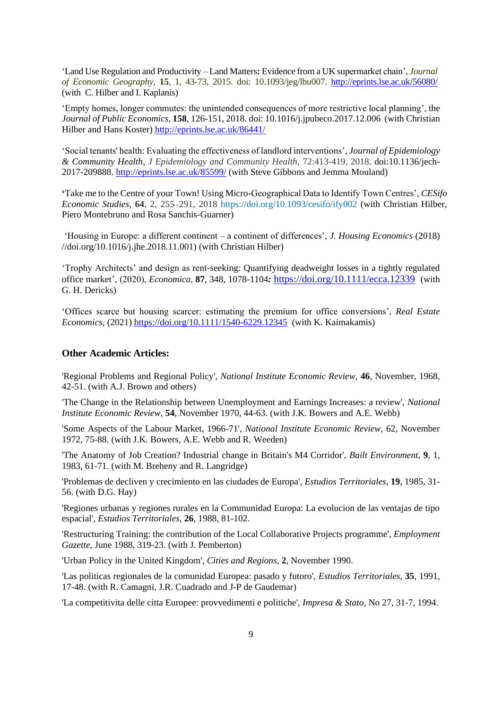'Land Use Regulation and Productivity – Land Matters**:** Evidence from a UK supermarket chain', *Journal of Economic Geography*, **15**, 1, 43-73, 2015. doi: 10.1093/jeg/lbu007. <http://eprints.lse.ac.uk/56080/> (with C. Hilber and I. Kaplanis)

'Empty homes, longer commutes: the unintended consequences of more restrictive local planning', the *Journal of Public Economics*, **158**, 126-151, 2018. doi: 10.1016/j.jpubeco.2017.12.006 (with Christian Hilber and Hans Koster) <http://eprints.lse.ac.uk/86441/>

'Social tenants' health: Evaluating the effectiveness of landlord interventions', *Journal of Epidemiology & Community Health, J Epidemiology and Community Health,* 72:413-419, 2018. doi:10.1136/jech-2017-209888.<http://eprints.lse.ac.uk/85599/> (with Steve Gibbons and Jemma Mouland)

**'**Take me to the Centre of your Town! Using Micro-Geographical Data to Identify Town Centres', *CESifo Economic Studies,* **64**, 2, 255–291, 2018 <https://doi.org/10.1093/cesifo/ify002> (with Christian Hilber, Piero Montebruno and Rosa Sanchis-Guarner)

'Housing in Europe: a different continent – a continent of differences', *J. Housing Economics* (2018) //doi.org/10.1016/j.jhe.2018.11.001) (with Christian Hilber)

'Trophy Architects' and design as rent-seeking: Quantifying deadweight losses in a tightly regulated office market', (2020), *Economica,* **87**, 348, 1078-1104*:* <https://doi.org/10.1111/ecca.12339>(with G. H. Dericks)

'Offices scarce but housing scarcer: estimating the premium for office conversions', *Real Estate Economics,* (2021)<https://doi.org/10.1111/1540-6229.12345> (with K. Kaimakamis)

#### **Other Academic Articles:**

'Regional Problems and Regional Policy', *National Institute Economic Review*, **46**, November, 1968, 42-51. (with A.J. Brown and others)

'The Change in the Relationship between Unemployment and Earnings Increases: a review', *National Institute Economic Review*, **54**, November 1970, 44-63. (with J.K. Bowers and A.E. Webb)

'Some Aspects of the Labour Market, 1966-71', *National Institute Economic Review*, 62, November 1972, 75-88. (with J.K. Bowers, A.E. Webb and R. Weeden)

'The Anatomy of Job Creation? Industrial change in Britain's M4 Corridor', *Built Environment*, **9**, 1, 1983, 61-71. (with M. Breheny and R. Langridge)

'Problemas de decliven y crecimiento en las ciudades de Europa', *Estudios Territoriales*, **19**, 1985, 31- 56. (with D.G. Hay)

'Regiones urbanas y regiones rurales en la Communidad Europa: La evolucion de las ventajas de tipo espacial', *Estudios Territoriales*, **26**, 1988, 81-102.

'Restructuring Training: the contribution of the Local Collaborative Projects programme'*, Employment Gazette,* June 1988, 319-23. (with J. Pemberton)

'Urban Policy in the United Kingdom', *Cities and Regions*, **2**, November 1990.

'Las politicas regionales de la comunidad Europea: pasado y futoro', *Estudios Territoriales*, **35**, 1991, 17-48. (with R. Camagni, J.R. Cuadrado and J-P de Gaudemar)

'La competitivita delle citta Europee: provvedimenti e politiche', *Impresa & Stato*, No 27, 31-7, 1994.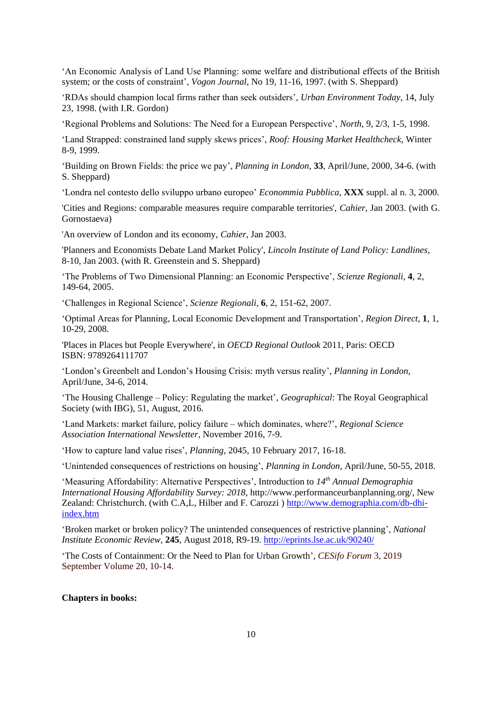'An Economic Analysis of Land Use Planning: some welfare and distributional effects of the British system; or the costs of constraint', *Vogon Journal,* No 19, 11-16, 1997. (with S. Sheppard)

'RDAs should champion local firms rather than seek outsiders', *Urban Environment Today*, 14, July 23, 1998. (with I.R. Gordon)

'Regional Problems and Solutions: The Need for a European Perspective', *North*, 9, 2/3, 1-5, 1998.

'Land Strapped: constrained land supply skews prices', *Roof: Housing Market Healthcheck*, Winter 8-9, 1999.

'Building on Brown Fields: the price we pay', *Planning in London*, **33**, April/June, 2000, 34-6. (with S. Sheppard)

'Londra nel contesto dello sviluppo urbano europeo' *Econommia Pubblica,* **XXX** suppl. al n. 3, 2000.

'Cities and Regions: comparable measures require comparable territories', *Cahier*, Jan 2003. (with G. Gornostaeva)

'An overview of London and its economy, *Cahier*, Jan 2003.

'Planners and Economists Debate Land Market Policy', *Lincoln Institute of Land Policy: Landlines*, 8-10, Jan 2003. (with R. Greenstein and S. Sheppard)

'The Problems of Two Dimensional Planning: an Economic Perspective', *Scienze Regionali*, **4**, 2, 149-64, 2005.

'Challenges in Regional Science', *Scienze Regionali*, **6**, 2, 151-62, 2007.

'Optimal Areas for Planning, Local Economic Development and Transportation', *Region Direct*, **1**, 1, 10-29, 2008.

'Places in Places but People Everywhere', in *OECD Regional Outlook* 2011, Paris: OECD ISBN: 9789264111707

'London's Greenbelt and London's Housing Crisis: myth versus reality', *Planning in London*, April/June, 34-6, 2014.

'The Housing Challenge – Policy: Regulating the market'*, Geographical*: The Royal Geographical Society (with IBG), 51, August, 2016.

'Land Markets: market failure, policy failure – which dominates, where?', *Regional Science Association International Newsletter*, November 2016, 7-9.

'How to capture land value rises', *Planning*, 2045, 10 February 2017, 16-18.

'Unintended consequences of restrictions on housing', *Planning in London*, April/June, 50-55, 2018.

'Measuring Affordability: Alternative Perspectives', Introduction to *14th Annual Demographia International Housing Affordability Survey: 2018*, http://www.performanceurbanplanning.org/, New Zealand: Christchurch. (with C.A,L, Hilber and F. Carozzi ) [http://www.demographia.com/db-dhi](http://www.demographia.com/db-dhi-index.htm)[index.htm](http://www.demographia.com/db-dhi-index.htm)

'Broken market or broken policy? The unintended consequences of restrictive planning', *National Institute Economic Review*, **245**, August 2018, R9-19. <http://eprints.lse.ac.uk/90240/>

'The Costs of Containment: Or the Need to Plan for Urban Growth'*, CESifo Forum* 3, 2019 September Volume 20, 10-14.

#### **Chapters in books:**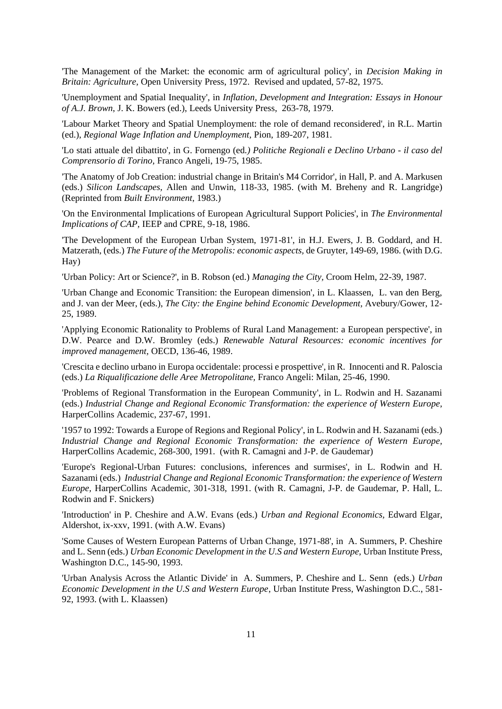'The Management of the Market: the economic arm of agricultural policy', in *Decision Making in Britain: Agriculture,* Open University Press, 1972. Revised and updated, 57-82, 1975.

'Unemployment and Spatial Inequality', in *Inflation, Development and Integration: Essays in Honour of A.J. Brown*, J. K. Bowers (ed.), Leeds University Press, 263-78, 1979.

'Labour Market Theory and Spatial Unemployment: the role of demand reconsidered', in R.L. Martin (ed.), *Regional Wage Inflation and Unemployment,* Pion, 189-207, 1981.

'Lo stati attuale del dibattito', in G. Fornengo (ed*.) Politiche Regionali e Declino Urbano - il caso del Comprensorio di Torino,* Franco Angeli, 19-75, 1985.

'The Anatomy of Job Creation: industrial change in Britain's M4 Corridor', in Hall, P. and A. Markusen (eds.) *Silicon Landscapes,* Allen and Unwin, 118-33, 1985. (with M. Breheny and R. Langridge) (Reprinted from *Built Environment*, 1983.)

'On the Environmental Implications of European Agricultural Support Policies', in *The Environmental Implications of CAP,* IEEP and CPRE, 9-18, 1986.

'The Development of the European Urban System, 1971-81', in H.J. Ewers, J. B. Goddard, and H. Matzerath, (eds.) *The Future of the Metropolis: economic aspects,* de Gruyter, 149-69, 1986. (with D.G. Hay)

'Urban Policy: Art or Science?', in B. Robson (ed.) *Managing the City,* Croom Helm, 22-39, 1987.

'Urban Change and Economic Transition: the European dimension', in L. Klaassen, L. van den Berg, and J. van der Meer, (eds.), *The City: the Engine behind Economic Development,* Avebury/Gower, 12- 25, 1989.

'Applying Economic Rationality to Problems of Rural Land Management: a European perspective', in D.W. Pearce and D.W. Bromley (eds.) *Renewable Natural Resources: economic incentives for improved management,* OECD, 136-46, 1989.

'Crescita e declino urbano in Europa occidentale: processi e prospettive', in R. Innocenti and R. Paloscia (eds.) *La Riqualificazione delle Aree Metropolitane,* Franco Angeli: Milan, 25-46, 1990.

'Problems of Regional Transformation in the European Community', in L. Rodwin and H. Sazanami (eds.) *Industrial Change and Regional Economic Transformation: the experience of Western Europe,* HarperCollins Academic, 237-67, 1991.

'1957 to 1992: Towards a Europe of Regions and Regional Policy', in L. Rodwin and H. Sazanami (eds.) *Industrial Change and Regional Economic Transformation: the experience of Western Europe,* HarperCollins Academic, 268-300, 1991. (with R. Camagni and J-P. de Gaudemar)

'Europe's Regional-Urban Futures: conclusions, inferences and surmises', in L. Rodwin and H. Sazanami (eds.) *Industrial Change and Regional Economic Transformation: the experience of Western Europe,* HarperCollins Academic, 301-318, 1991. (with R. Camagni, J-P. de Gaudemar, P. Hall, L. Rodwin and F. Snickers)

'Introduction' in P. Cheshire and A.W. Evans (eds.) *Urban and Regional Economics,* Edward Elgar, Aldershot, ix-xxv, 1991. (with A.W. Evans)

'Some Causes of Western European Patterns of Urban Change, 1971-88', in A. Summers, P. Cheshire and L. Senn (eds.) *Urban Economic Development in the U.S and Western Europe,* Urban Institute Press, Washington D.C., 145-90, 1993.

'Urban Analysis Across the Atlantic Divide' in A. Summers, P. Cheshire and L. Senn (eds.) *Urban Economic Development in the U.S and Western Europe*, Urban Institute Press, Washington D.C., 581- 92, 1993. (with L. Klaassen)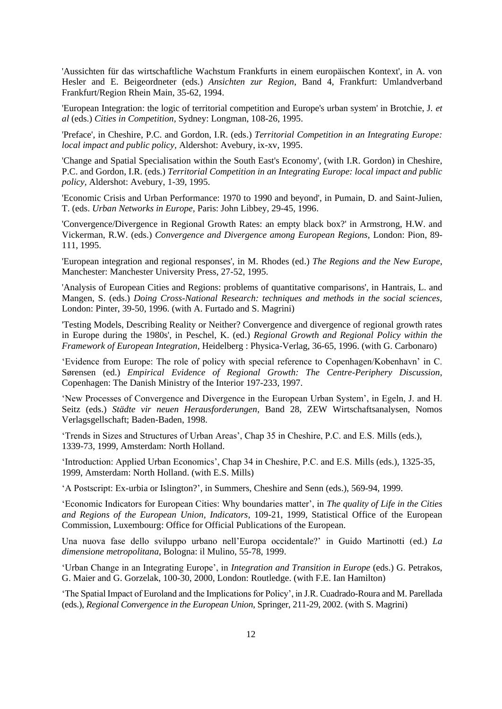'Aussichten für das wirtschaftliche Wachstum Frankfurts in einem europäischen Kontext', in A. von Hesler and E. Beigeordneter (eds.) *Ansichten zur Region*, Band 4, Frankfurt: Umlandverband Frankfurt/Region Rhein Main, 35-62, 1994.

'European Integration: the logic of territorial competition and Europe's urban system' in Brotchie, J. *et al* (eds.) *Cities in Competition,* Sydney: Longman, 108-26, 1995.

'Preface', in Cheshire, P.C. and Gordon, I.R. (eds.) *Territorial Competition in an Integrating Europe: local impact and public policy,* Aldershot: Avebury, ix-xv, 1995.

'Change and Spatial Specialisation within the South East's Economy', (with I.R. Gordon) in Cheshire, P.C. and Gordon, I.R. (eds.) *Territorial Competition in an Integrating Europe: local impact and public policy,* Aldershot: Avebury, 1-39, 1995.

'Economic Crisis and Urban Performance: 1970 to 1990 and beyond', in Pumain, D. and Saint-Julien, T. (eds. *Urban Networks in Europe,* Paris: John Libbey, 29-45, 1996.

'Convergence/Divergence in Regional Growth Rates: an empty black box?' in Armstrong, H.W. and Vickerman, R.W. (eds.) *Convergence and Divergence among European Regions,* London: Pion, 89- 111, 1995.

'European integration and regional responses', in M. Rhodes (ed.) *The Regions and the New Europe*, Manchester: Manchester University Press, 27-52, 1995.

'Analysis of European Cities and Regions: problems of quantitative comparisons', in Hantrais, L. and Mangen, S. (eds.) *Doing Cross-National Research: techniques and methods in the social sciences,* London: Pinter, 39-50, 1996. (with A. Furtado and S. Magrini)

'Testing Models, Describing Reality or Neither? Convergence and divergence of regional growth rates in Europe during the 1980s', in Peschel, K. (ed.) *Regional Growth and Regional Policy within the Framework of European Integration*, Heidelberg : Physica-Verlag, 36-65, 1996. (with G. Carbonaro)

'Evidence from Europe: The role of policy with special reference to Copenhagen/Kobenhavn' in C. Sørensen (ed.) *Empirical Evidence of Regional Growth: The Centre-Periphery Discussion*, Copenhagen: The Danish Ministry of the Interior 197-233*,* 1997.

'New Processes of Convergence and Divergence in the European Urban System', in Egeln, J. and H. Seitz (eds.) *Städte vir neuen Herausforderungen*, Band 28, ZEW Wirtschaftsanalysen, Nomos Verlagsgellschaft; Baden-Baden, 1998.

'Trends in Sizes and Structures of Urban Areas', Chap 35 in Cheshire, P.C. and E.S. Mills (eds.), 1339-73, 1999, Amsterdam: North Holland.

'Introduction: Applied Urban Economics', Chap 34 in Cheshire, P.C. and E.S. Mills (eds.), 1325-35, 1999, Amsterdam: North Holland. (with E.S. Mills)

'A Postscript: Ex-urbia or Islington?', in Summers, Cheshire and Senn (eds.), 569-94, 1999.

'Economic Indicators for European Cities: Why boundaries matter', in *The quality of Life in the Cities and Regions of the European Union, Indicators*, 109-21, 1999, Statistical Office of the European Commission, Luxembourg: Office for Official Publications of the European.

Una nuova fase dello sviluppo urbano nell'Europa occidentale?' in Guido Martinotti (ed.) *La dimensione metropolitana*, Bologna: il Mulino, 55-78, 1999.

'Urban Change in an Integrating Europe', in *Integration and Transition in Europe* (eds.) G. Petrakos, G. Maier and G. Gorzelak, 100-30, 2000, London: Routledge. (with F.E. Ian Hamilton)

'The Spatial Impact of Euroland and the Implications for Policy', in J.R. Cuadrado-Roura and M. Parellada (eds.), *Regional Convergence in the European Union*, Springer, 211-29, 2002. (with S. Magrini)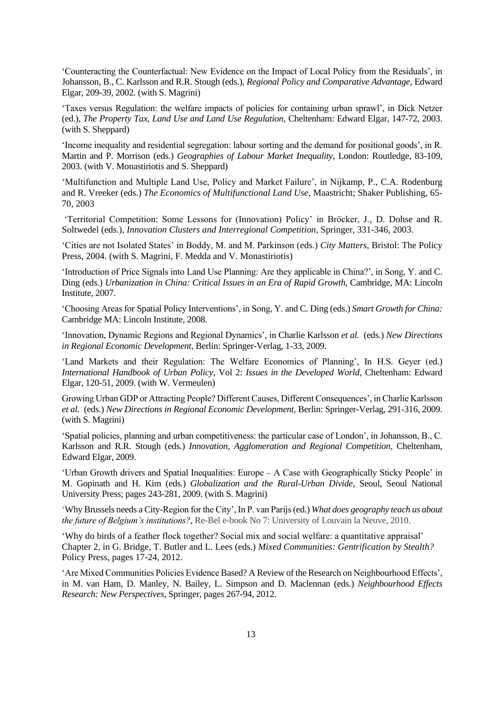'Counteracting the Counterfactual: New Evidence on the Impact of Local Policy from the Residuals', in Johansson, B., C. Karlsson and R.R. Stough (eds.), *Regional Policy and Comparative Advantage,* Edward Elgar, 209-39, 2002*.* (with S. Magrini)

'Taxes versus Regulation: the welfare impacts of policies for containing urban sprawl', in Dick Netzer (ed.), *The Property Tax, Land Use and Land Use Regulation*, Cheltenham: Edward Elgar, 147-72, 2003. (with S. Sheppard)

'Income inequality and residential segregation: labour sorting and the demand for positional goods', in R. Martin and P. Morrison (eds.) *Geographies of Labour Market Inequality*, London: Routledge, 83-109, 2003. (with V. Monastiriotis and S. Sheppard)

'Multifunction and Multiple Land Use, Policy and Market Failure', in Nijkamp, P., C.A. Rodenburg and R. Vreeker (eds.) *The Economics of Multifunctional Land Use*, Maastricht; Shaker Publishing, 65- 70, 2003

'Territorial Competition: Some Lessons for (Innovation) Policy' in Bröcker, J., D. Dohse and R. Soltwedel (eds.), *Innovation Clusters and Interregional Competition*, Springer, 331-346, 2003.

'Cities are not Isolated States' in Boddy, M. and M. Parkinson (eds.) *City Matters*, Bristol: The Policy Press, 2004. (with S. Magrini, F. Medda and V. Monastiriotis)

'Introduction of Price Signals into Land Use Planning: Are they applicable in China?', in Song, Y. and C. Ding (eds.) *Urbanization in China: Critical Issues in an Era of Rapid Growth*, Cambridge, MA: Lincoln Institute, 2007.

'Choosing Areas for Spatial Policy Interventions', in Song, Y. and C. Ding (eds.) *Smart Growth for China:* Cambridge MA: Lincoln Institute, 2008.

'Innovation, Dynamic Regions and Regional Dynamics', in Charlie Karlsson *et al.* (eds.) *New Directions in Regional Economic Development,* Berlin: Springer-Verlag, 1-33, 2009.

'Land Markets and their Regulation: The Welfare Economics of Planning', In H.S. Geyer (ed.) *International Handbook of Urban Policy*, Vol 2: *Issues in the Developed World*, Cheltenham: Edward Elgar, 120-51, 2009. (with W. Vermeulen)

Growing Urban GDP or Attracting People? Different Causes, Different Consequences', in Charlie Karlsson *et al.* (eds.) *New Directions in Regional Economic Development,* Berlin: Springer-Verlag, 291-316, 2009. (with S. Magrini)

'Spatial policies, planning and urban competitiveness: the particular case of London', in Johansson, B., C. Karlsson and R.R. Stough (eds.) *Innovation, Agglomeration and Regional Competition*, Cheltenham, Edward Elgar, 2009.

'Urban Growth drivers and Spatial Inequalities: Europe – A Case with Geographically Sticky People' in M. Gopinath and H. Kim (eds.) *Globalization and the Rural-Urban Divide,* Seoul, Seoul National University Press; pages 243-281, 2009. (with S. Magrini)

'Why Brussels needs a City-Region for the City', In P. van Parijs (ed.) *What does geography teach us about the future of Belgium's institutions?,* Re-Bel e-book No 7: University of Louvain la Neuve, 2010.

'Why do birds of a feather flock together? Social mix and social welfare: a quantitative appraisal' Chapter 2, in G. Bridge, T. Butler and L. Lees (eds.) *Mixed Communities: Gentrification by Stealth?*  Policy Press, pages 17-24, 2012.

'Are Mixed Communities Policies Evidence Based? A Review of the Research on Neighbourhood Effects', in M. van Ham, D. Manley, N. Bailey, L. Simpson and D. Maclennan (eds.) *Neighbourhood Effects Research: New Perspectives*, Springer, pages 267-94, 2012.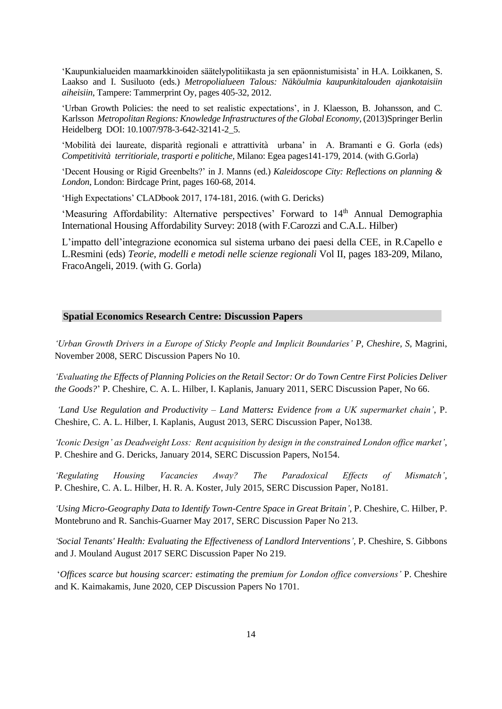'Kaupunkialueiden maamarkkinoiden säätelypolitiikasta ja sen epäonnistumisista' in H.A. Loikkanen, S. Laakso and I. Susiluoto (eds.) *Metropolialueen Talous: Näköulmia kaupunkitalouden ajankotaisiin aiheisiin*, Tampere: Tammerprint Oy, pages 405-32, 2012.

'Urban Growth Policies: the need to set realistic expectations', in J. [Klaesson,](https://ur.booksc.eu/g/Klaesson,%20Johan) B. [Johansson, and C.](https://ur.booksc.eu/g/Johansson,%20Börje)  [Karlsson](https://ur.booksc.eu/g/Karlsson,%20Charlie) *Metropolitan Regions: Knowledge Infrastructures of the Global Economy*, (2013)Springer Berlin Heidelberg DOI: 10.1007/978-3-642-32141-2\_5.

'Mobilità dei laureate, disparità regionali e attrattività urbana' in A. Bramanti e G. Gorla (eds) *Competitività territioriale, trasporti e politiche,* Milano: Egea pages141-179, 2014. (with G.Gorla)

'Decent Housing or Rigid Greenbelts?' in J. Manns (ed.) *Kaleidoscope City: Reflections on planning & London*, London: Birdcage Print, pages 160-68, 2014.

'High Expectations' CLADbook 2017, 174-181, 2016. (with G. Dericks)

'Measuring Affordability: Alternative perspectives' Forward to 14<sup>th</sup> Annual Demographia International Housing Affordability Survey: 2018 (with F.Carozzi and C.A.L. Hilber)

L'impatto dell'integrazione economica sul sistema urbano dei paesi della CEE, in R.Capello e L.Resmini (eds) *Teorie, modelli e metodi nelle scienze regionali* Vol II, pages 183-209, Milano, FracoAngeli, 2019. (with G. Gorla)

#### **Spatial Economics Research Centre: Discussion Papers**

*'Urban Growth Drivers in a Europe of Sticky People and Implicit Boundaries' P, Cheshire, S,* Magrini, November 2008, SERC Discussion Papers No 10.

*'Evaluating the Effects of Planning Policies on the Retail Sector: Or do Town Centre First Policies Deliver the Goods?*' P. Cheshire, C. A. L. Hilber, I. Kaplanis, January 2011, SERC Discussion Paper, No 66.

*'Land Use Regulation and Productivity – Land Matters: Evidence from a UK supermarket chain'*, P. Cheshire, C. A. L. Hilber, I. Kaplanis, August 2013, SERC Discussion Paper, No138.

*'Iconic Design' as Deadweight Loss: Rent acquisition by design in the constrained London office market'*, P. Cheshire and G. Dericks, January 2014, SERC Discussion Papers, No154.

*'Regulating Housing Vacancies Away? The Paradoxical Effects of Mismatch',* P. Cheshire, C. A. L. Hilber, H. R. A. Koster, July 2015, SERC Discussion Paper, No181.

*['Using Micro-Geography Data to Identify Town-Centre Space in Great Britain'](http://www.spatialeconomics.ac.uk/textonly/SERC/publications/download/sercdp0213.pdf),* P. Cheshire, C. Hilber, P. Montebruno and R. Sanchis-Guarner May 2017, SERC Discussion Paper No 213.

*['Social Tenants' Health: Evaluating the Effectiveness of Landlord Interventions'](http://www.spatialeconomics.ac.uk/textonly/SERC/publications/download/sercdp0219.pdf)*, P. Cheshire, S. Gibbons and J. Mouland August 2017 SERC Discussion Paper No 219.

'*Offices scarce but housing scarcer: estimating the premium for London office conversions'* P. Cheshire and K. Kaimakamis, June 2020, CEP Discussion Papers No 1701.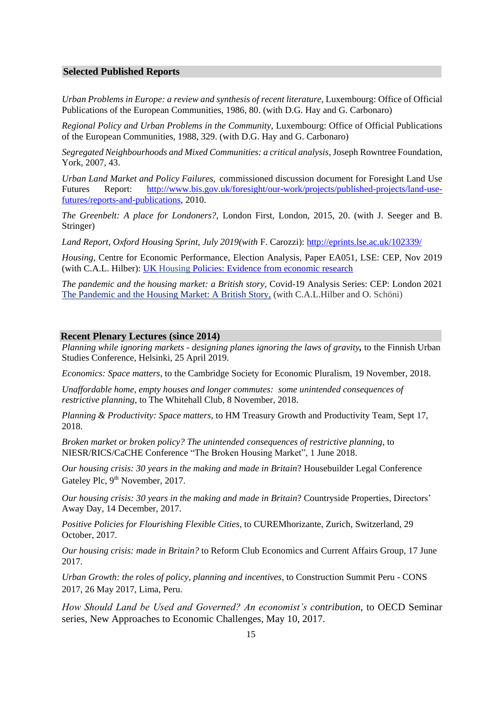#### **Selected Published Reports**

*Urban Problems in Europe: a review and synthesis of recent literature,* Luxembourg: Office of Official Publications of the European Communities, 1986, 80. (with D.G. Hay and G. Carbonaro)

*Regional Policy and Urban Problems in the Community,* Luxembourg: Office of Official Publications of the European Communities, 1988, 329. (with D.G. Hay and G. Carbonaro)

*Segregated Neighbourhoods and Mixed Communities: a critical analysis*, Joseph Rowntree Foundation, York, 2007, 43.

*Urban Land Market and Policy Failures,* commissioned discussion document for Foresight Land Use Futures Report: [http://www.bis.gov.uk/foresight/our-work/projects/published-projects/land-use](http://www.bis.gov.uk/foresight/our-work/projects/published-projects/land-use-futures/reports-and-publications)[futures/reports-and-publications,](http://www.bis.gov.uk/foresight/our-work/projects/published-projects/land-use-futures/reports-and-publications) 2010.

*The Greenbelt: A place for Londoners?,* London First, London, 2015, 20. (with J. Seeger and B. Stringer)

*Land Report, Oxford Housing Sprint, July 2019(with* F. Carozzi):<http://eprints.lse.ac.uk/102339/>

*Housing*, Centre for Economic Performance, Election Analysis, Paper EA051, LSE: CEP, Nov 2019 (with C.A.L. Hilber): UK Housing [Policies: Evidence from economic research](http://sut5.co.uk/sLJvCoOfseJyIbvaiYvbo6P08aLz9PH5qqj9r_v9qbbn4OGxsebi4OCu_OrZ3reUlZLG16TD1a7M2K2PiJ7BnIKX3ZWW2IKT3Mi9jIiccyQwRWBqcWlkZmtvKT9IanEhJyI6ZXJx)

*The pandemic and the housing market: a British story,* Covid-19 Analysis Series: CEP: London 2021 [The Pandemic and the Housing Market: A British Story,](https://cep.lse.ac.uk/pubs/download/cepcovid-19-020.pdf) (with C.A.L.Hilber and O. Schöni)

#### **Recent Plenary Lectures (since 2014)**

*Planning while ignoring markets - designing planes ignoring the laws of gravity,* to the Finnish Urban Studies Conference, Helsinki, 25 April 2019.

*Economics: Space matters*, to the Cambridge Society for Economic Pluralism, 19 November, 2018.

*Unaffordable home, empty houses and longer commutes: some unintended consequences of restrictive planning*, to The Whitehall Club, 8 November, 2018.

*Planning & Productivity: Space matters,* to HM Treasury Growth and Productivity Team, Sept 17, 2018.

*Broken market or broken policy? The unintended consequences of restrictive planning*, to NIESR/RICS/CaCHE Conference "The Broken Housing Market", 1 June 2018.

*Our housing crisis: 30 years in the making and made in Britain*? Housebuilder Legal Conference Gateley Plc, 9<sup>th</sup> November, 2017.

*Our housing crisis: 30 years in the making and made in Britain*? Countryside Properties, Directors' Away Day, 14 December, 2017.

*Positive Policies for Flourishing Flexible Cities*, to CUREMhorizante, Zurich, Switzerland, 29 October, 2017.

*Our housing crisis: made in Britain?* to Reform Club Economics and Current Affairs Group, 17 June 2017*.*

*Urban Growth: the roles of policy, planning and incentives*, to Construction Summit Peru - CONS 2017, 26 May 2017, Lima, Peru.

*How Should Land be Used and Governed? An economist's contribution*, to OECD Seminar series, New Approaches to Economic Challenges, May 10, 2017.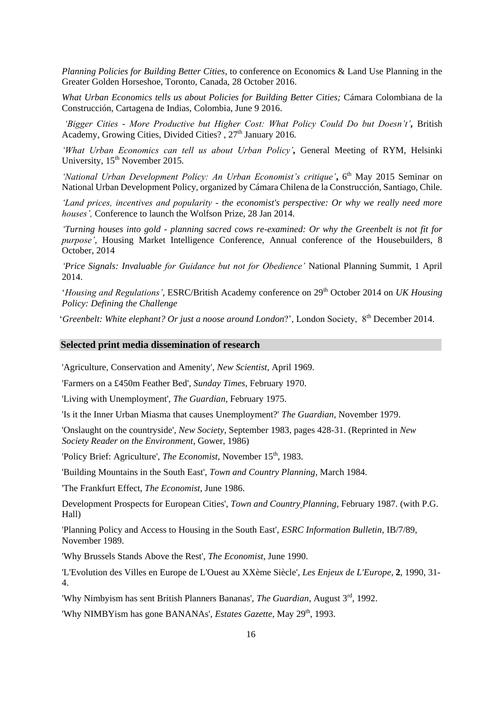*Planning Policies for Building Better Cities*, to conference on Economics & Land Use Planning in the Greater Golden Horseshoe, Toronto, Canada, 28 October 2016.

*What Urban Economics tells us about Policies for Building Better Cities;* Cámara Colombiana de la Construcción, Cartagena de Indias, Colombia, June 9 2016.

*'Bigger Cities - More Productive but Higher Cost: What Policy Could Do but Doesn't',* British Academy, Growing Cities, Divided Cities? , 27<sup>th</sup> January 2016.

*'What Urban Economics can tell us about Urban Policy',* General Meeting of RYM, Helsinki University, 15<sup>th</sup> November 2015.

'National Urban Development Policy: An Urban Economist's critique', 6<sup>th</sup> May 2015 Seminar on National Urban Development Policy, organized by Cámara Chilena de la Construcción, Santiago, Chile.

*'Land prices, incentives and popularity - the economist's perspective: Or why we really need more houses',* Conference to launch the Wolfson Prize, 28 Jan 2014.

*'Turning houses into gold - planning sacred cows re-examined: Or why the Greenbelt is not fit for purpose'*, Housing Market Intelligence Conference, Annual conference of the Housebuilders, 8 October, 2014

*'Price Signals: Invaluable for Guidance but not for Obedience'* National Planning Summit, 1 April 2014.

*'Housing and Regulations'*, ESRC/British Academy conference on 29<sup>th</sup> October 2014 on *UK Housing Policy: Defining the Challenge*

'*Greenbelt: White elephant? Or just a noose around London*?', London Society, 8th December 2014.

#### **Selected print media dissemination of research**

'Agriculture, Conservation and Amenity', *New Scientist*, April 1969.

'Farmers on a £450m Feather Bed'*, Sunday Times*, February 1970.

'Living with Unemployment', *The Guardian*, February 1975.

'Is it the Inner Urban Miasma that causes Unemployment?' *The Guardian*, November 1979.

'Onslaught on the countryside'*, New Society*, September 1983, pages 428-31. (Reprinted in *New Society Reader on the Environment*, Gower, 1986)

'Policy Brief: Agriculture', *The Economist*, November 15<sup>th</sup>, 1983.

'Building Mountains in the South East', *Town and Country Planning*, March 1984.

'The Frankfurt Effect, *The Economist*, June 1986.

Development Prospects for European Cities', *Town and Country Planning,* February 1987. (with P.G. Hall)

'Planning Policy and Access to Housing in the South East'*, ESRC Information Bulletin*, IB/7/89, November 1989.

'Why Brussels Stands Above the Rest', *The Economist*, June 1990.

'L'Evolution des Villes en Europe de L'Ouest au XXème Siècle', *Les Enjeux de L'Europe*, **2**, 1990, 31- 4.

'Why Nimbyism has sent British Planners Bananas', *The Guardian*, August 3<sup>rd</sup>, 1992.

'Why NIMBYism has gone BANANAs', *Estates Gazette*, May 29<sup>th</sup>, 1993.